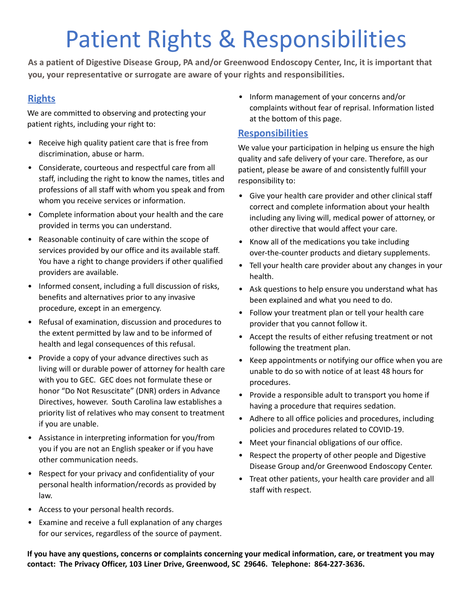## Patient Rights & Responsibilities

**As a patient of Digestive Disease Group, PA and/or Greenwood Endoscopy Center, Inc, it is important that you, your representative or surrogate are aware of your rights and responsibilities.**

## **Rights**

We are committed to observing and protecting your patient rights, including your right to:

- Receive high quality patient care that is free from discrimination, abuse or harm.
- Considerate, courteous and respectful care from all staff, including the right to know the names, titles and professions of all staff with whom you speak and from whom you receive services or information.
- Complete information about your health and the care provided in terms you can understand.
- Reasonable continuity of care within the scope of services provided by our office and its available staff. You have a right to change providers if other qualified providers are available.
- Informed consent, including a full discussion of risks, benefits and alternatives prior to any invasive procedure, except in an emergency.
- Refusal of examination, discussion and procedures to the extent permitted by law and to be informed of health and legal consequences of this refusal.
- Provide a copy of your advance directives such as living will or durable power of attorney for health care with you to GEC. GEC does not formulate these or honor "Do Not Resuscitate" (DNR) orders in Advance Directives, however. South Carolina law establishes a priority list of relatives who may consent to treatment if you are unable.
- Assistance in interpreting information for you/from you if you are not an English speaker or if you have other communication needs.
- Respect for your privacy and confidentiality of your personal health information/records as provided by law.
- Access to your personal health records.
- Examine and receive a full explanation of any charges for our services, regardless of the source of payment.

• Inform management of your concerns and/or complaints without fear of reprisal. Information listed at the bottom of this page.

## **Responsibilities**

We value your participation in helping us ensure the high quality and safe delivery of your care. Therefore, as our patient, please be aware of and consistently fulfill your responsibility to:

- Give your health care provider and other clinical staff correct and complete information about your health including any living will, medical power of attorney, or other directive that would affect your care.
- Know all of the medications you take including over-the-counter products and dietary supplements.
- Tell your health care provider about any changes in your health.
- Ask questions to help ensure you understand what has been explained and what you need to do.
- Follow your treatment plan or tell your health care provider that you cannot follow it.
- Accept the results of either refusing treatment or not following the treatment plan.
- Keep appointments or notifying our office when you are unable to do so with notice of at least 48 hours for procedures.
- Provide a responsible adult to transport you home if having a procedure that requires sedation.
- Adhere to all office policies and procedures, including policies and procedures related to COVID-19.
- Meet your financial obligations of our office.
- Respect the property of other people and Digestive Disease Group and/or Greenwood Endoscopy Center.
- Treat other patients, your health care provider and all staff with respect.

If you have any questions, concerns or complaints concerning your medical information, care, or treatment you may **contact: The Privacy Officer, 103 Liner Drive, Greenwood, SC 29646. Telephone: 864-227-3636.**